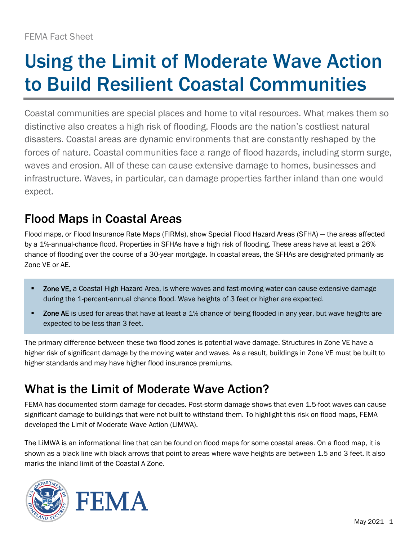# Using the Limit of Moderate Wave Action to Build Resilient Coastal Communities

Coastal communities are special places and home to vital resources. What makes them so distinctive also creates a high risk of flooding. Floods are the nation's costliest natural disasters. Coastal areas are dynamic environments that are constantly reshaped by the forces of nature. Coastal communities face a range of flood hazards, including storm surge, waves and erosion. All of these can cause extensive damage to homes, businesses and infrastructure. Waves, in particular, can damage properties farther inland than one would expect.

### Flood Maps in Coastal Areas

Flood maps, or Flood Insurance Rate Maps (FIRMs), show Special Flood Hazard Areas (SFHA) — the areas affected by a 1%-annual-chance flood. Properties in SFHAs have a high risk of flooding. These areas have at least a 26% chance of flooding over the course of a 30-year mortgage. In coastal areas, the SFHAs are designated primarily as Zone VE or AE.

- Zone VE, a Coastal High Hazard Area, is where waves and fast-moving water can cause extensive damage during the 1-percent-annual chance flood. Wave heights of 3 feet or higher are expected.
- **EX 2008 AE** is used for areas that have at least a 1% chance of being flooded in any year, but wave heights are expected to be less than 3 feet.

The primary difference between these two flood zones is potential wave damage. Structures in Zone VE have a higher risk of significant damage by the moving water and waves. As a result, buildings in Zone VE must be built to higher standards and may have higher flood insurance premiums.

## What is the Limit of Moderate Wave Action?

FEMA has documented storm damage for decades. Post-storm damage shows that even 1.5-foot waves can cause significant damage to buildings that were not built to withstand them. To highlight this risk on flood maps, FEMA developed the Limit of Moderate Wave Action (LiMWA).

The LiMWA is an informational line that can be found on flood maps for some coastal areas. On a flood map, it is shown as a black line with black arrows that point to areas where wave heights are between 1.5 and 3 feet. It also marks the inland limit of the Coastal A Zone.

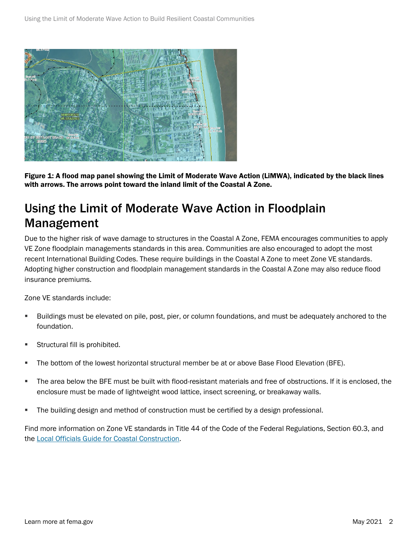

Figure 1: A flood map panel showing the Limit of Moderate Wave Action (LiMWA), indicated by the black lines with arrows. The arrows point toward the inland limit of the Coastal A Zone.

### Using the Limit of Moderate Wave Action in Floodplain Management

Due to the higher risk of wave damage to structures in the Coastal A Zone, FEMA encourages communities to apply VE Zone floodplain managements standards in this area. Communities are also encouraged to adopt the most recent International Building Codes. These require buildings in the Coastal A Zone to meet Zone VE standards. Adopting higher construction and floodplain management standards in the Coastal A Zone may also reduce flood insurance premiums.

Zone VE standards include:

- Buildings must be elevated on pile, post, pier, or column foundations, and must be adequately anchored to the foundation.
- **Structural fill is prohibited.**
- The bottom of the lowest horizontal structural member be at or above Base Flood Elevation (BFE).
- The area below the BFE must be built with flood-resistant materials and free of obstructions. If it is enclosed, the enclosure must be made of lightweight wood lattice, insect screening, or breakaway walls.
- The building design and method of construction must be certified by a design professional.

Find more information on Zone VE standards in Title 44 of the Code of the Federal Regulations, Section 60.3, and the [Local Officials Guide for Coastal Construction.](https://www.fema.gov/sites/default/files/2020-08/fema_p-762_local_officials_guide_coastal_construction.pdf)